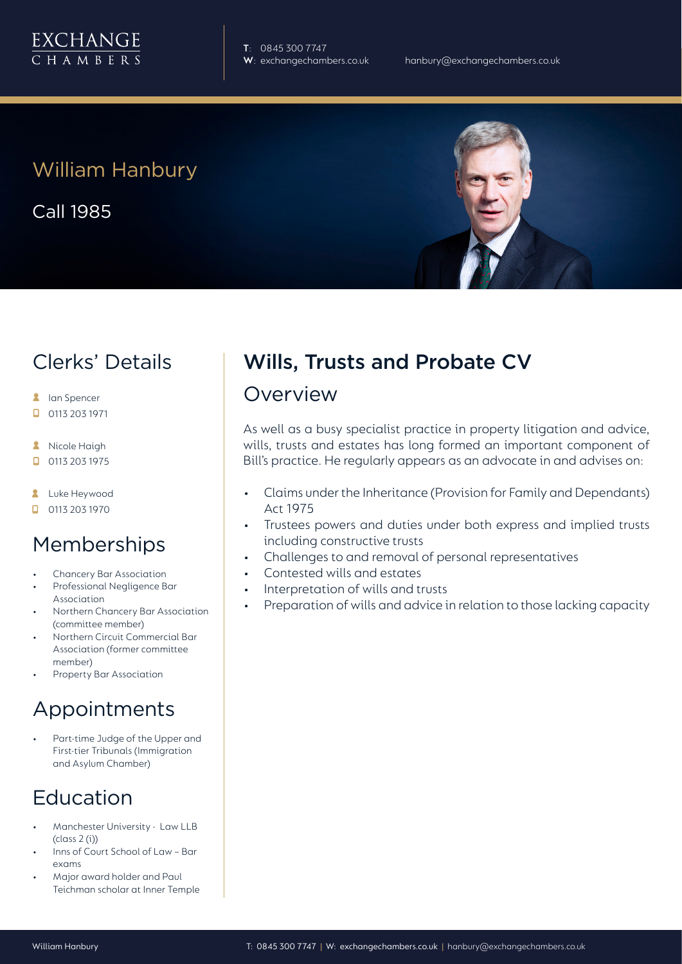

**T**: 0845 300 7747

# William Hanbury

Call 1985

## Clerks' Details

- **A** Ian Spencer
- 0113 203 1971  $\Box$
- **A** Nicole Haigh
- $\Box$ 0113 203 1975
- **2** Luke Heywood
- $\Box$  0113 203 1970

### **Memberships**

- Chancery Bar Association
- Professional Negligence Bar Association
- Northern Chancery Bar Association (committee member)
- Northern Circuit Commercial Bar Association (former committee member)
- Property Bar Association

### Appointments

Part-time Judge of the Upper and First-tier Tribunals (Immigration and Asylum Chamber)

# Education

- Manchester University Law LLB (class 2 (i))
- Inns of Court School of Law Bar exams
- Major award holder and Paul Teichman scholar at Inner Temple

# Wills, Trusts and Probate CV

### Overview

As well as a busy specialist practice in property litigation and advice, wills, trusts and estates has long formed an important component of Bill's practice. He regularly appears as an advocate in and advises on:

- Claims under the Inheritance (Provision for Family and Dependants) Act 1975
- Trustees powers and duties under both express and implied trusts including constructive trusts
- Challenges to and removal of personal representatives
- Contested wills and estates
- Interpretation of wills and trusts
- Preparation of wills and advice in relation to those lacking capacity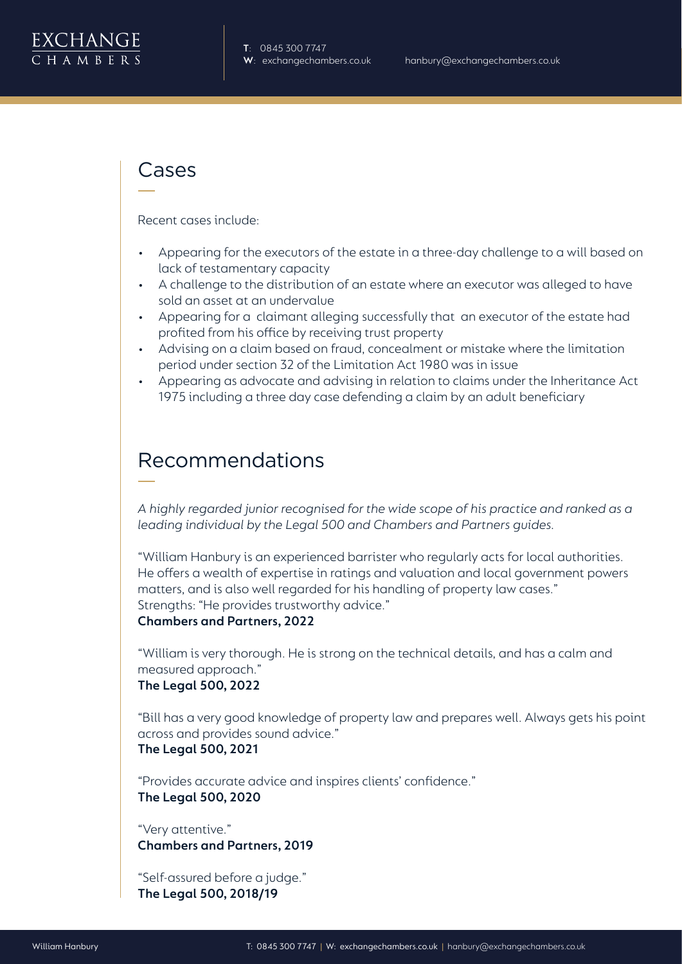

### Cases

Recent cases include:

- Appearing for the executors of the estate in a three-day challenge to a will based on lack of testamentary capacity
- A challenge to the distribution of an estate where an executor was alleged to have sold an asset at an undervalue
- Appearing for a claimant alleging successfully that an executor of the estate had profited from his office by receiving trust property
- Advising on a claim based on fraud, concealment or mistake where the limitation period under section 32 of the Limitation Act 1980 was in issue
- Appearing as advocate and advising in relation to claims under the Inheritance Act 1975 including a three day case defending a claim by an adult beneficiary

### Recommendations

*A highly regarded junior recognised for the wide scope of his practice and ranked as a leading individual by the Legal 500 and Chambers and Partners guides.* 

"William Hanbury is an experienced barrister who regularly acts for local authorities. He offers a wealth of expertise in ratings and valuation and local government powers matters, and is also well regarded for his handling of property law cases." Strengths: "He provides trustworthy advice."

**Chambers and Partners, 2022**

"William is very thorough. He is strong on the technical details, and has a calm and measured approach." **The Legal 500, 2022**

"Bill has a very good knowledge of property law and prepares well. Always gets his point across and provides sound advice." **The Legal 500, 2021**

"Provides accurate advice and inspires clients' confidence." **The Legal 500, 2020**

"Very attentive." **Chambers and Partners, 2019**

"Self-assured before a judge." **The Legal 500, 2018/19**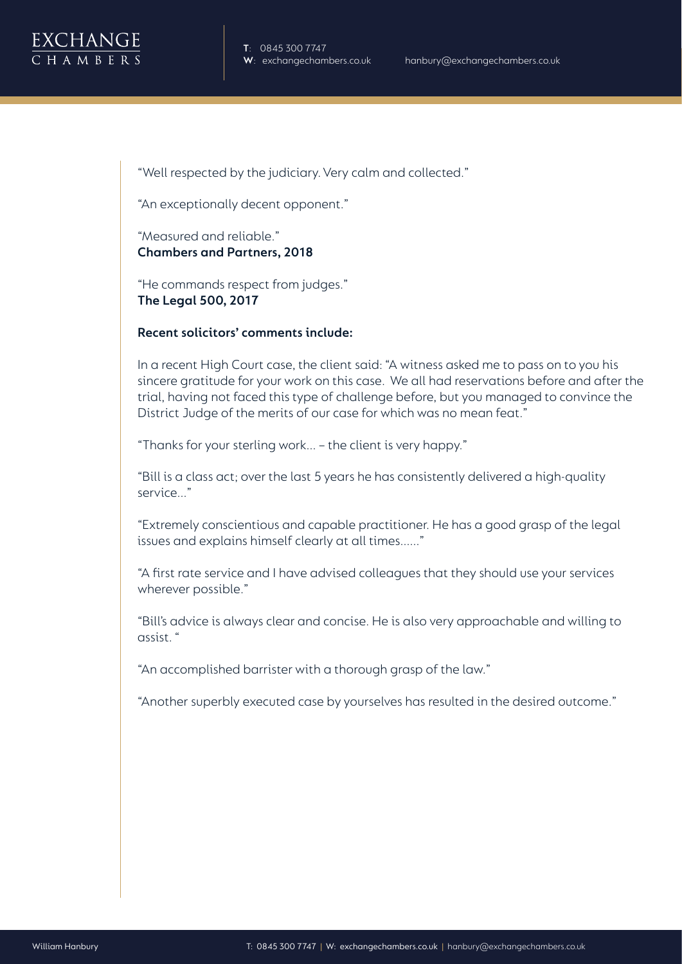

"Well respected by the judiciary. Very calm and collected."

"An exceptionally decent opponent."

"Measured and reliable." **Chambers and Partners, 2018**

"He commands respect from judges." **The Legal 500, 2017**

#### **Recent solicitors' comments include:**

In a recent High Court case, the client said: "A witness asked me to pass on to you his sincere gratitude for your work on this case. We all had reservations before and after the trial, having not faced this type of challenge before, but you managed to convince the District Judge of the merits of our case for which was no mean feat."

"Thanks for your sterling work... – the client is very happy."

"Bill is a class act; over the last 5 years he has consistently delivered a high-quality service..."

"Extremely conscientious and capable practitioner. He has a good grasp of the legal issues and explains himself clearly at all times......"

"A first rate service and I have advised colleagues that they should use your services wherever possible."

"Bill's advice is always clear and concise. He is also very approachable and willing to assist. "

"An accomplished barrister with a thorough grasp of the law."

"Another superbly executed case by yourselves has resulted in the desired outcome."